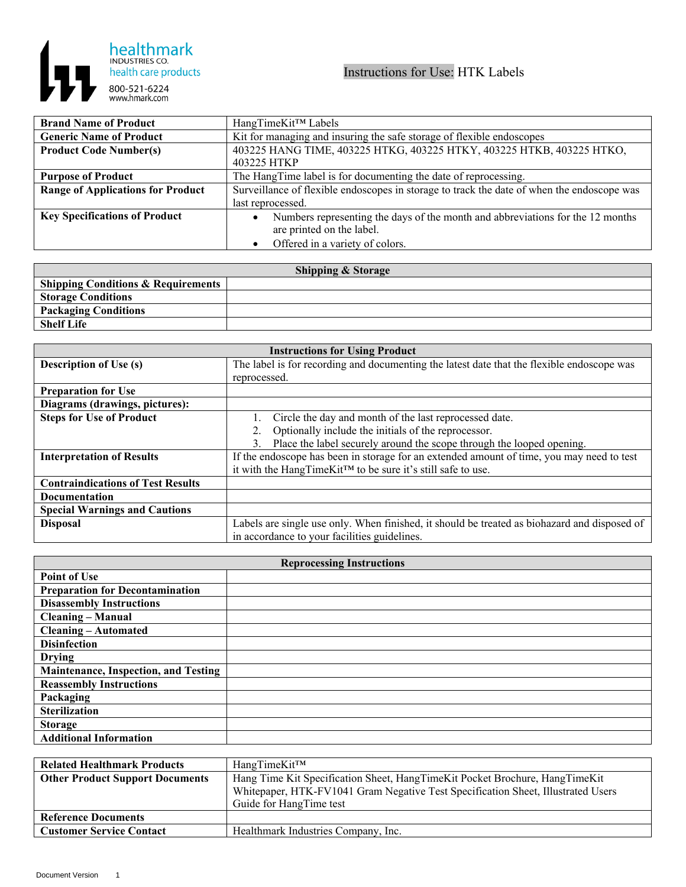

| <b>Brand Name of Product</b>             | HangTimeKit™ Labels                                                                         |
|------------------------------------------|---------------------------------------------------------------------------------------------|
| <b>Generic Name of Product</b>           | Kit for managing and insuring the safe storage of flexible endoscopes                       |
| <b>Product Code Number(s)</b>            | 403225 HANG TIME, 403225 HTKG, 403225 HTKY, 403225 HTKB, 403225 HTKO,                       |
|                                          | 403225 HTKP                                                                                 |
| <b>Purpose of Product</b>                | The HangTime label is for documenting the date of reprocessing.                             |
| <b>Range of Applications for Product</b> | Surveillance of flexible endoscopes in storage to track the date of when the endoscope was  |
|                                          | last reprocessed.                                                                           |
| <b>Key Specifications of Product</b>     | Numbers representing the days of the month and abbreviations for the 12 months<br>$\bullet$ |
|                                          | are printed on the label.                                                                   |
|                                          | Offered in a variety of colors.                                                             |

| <b>Shipping &amp; Storage</b>                 |  |  |
|-----------------------------------------------|--|--|
| <b>Shipping Conditions &amp; Requirements</b> |  |  |
| <b>Storage Conditions</b>                     |  |  |
| <b>Packaging Conditions</b>                   |  |  |
| <b>Shelf Life</b>                             |  |  |

| <b>Instructions for Using Product</b>    |                                                                                              |  |
|------------------------------------------|----------------------------------------------------------------------------------------------|--|
| <b>Description of Use (s)</b>            | The label is for recording and documenting the latest date that the flexible endoscope was   |  |
|                                          | reprocessed.                                                                                 |  |
| <b>Preparation for Use</b>               |                                                                                              |  |
| Diagrams (drawings, pictures):           |                                                                                              |  |
| <b>Steps for Use of Product</b>          | Circle the day and month of the last reprocessed date.                                       |  |
|                                          | Optionally include the initials of the reprocessor.<br>2.                                    |  |
|                                          | Place the label securely around the scope through the looped opening.                        |  |
| <b>Interpretation of Results</b>         | If the endoscope has been in storage for an extended amount of time, you may need to test    |  |
|                                          | it with the HangTimeKit™ to be sure it's still safe to use.                                  |  |
| <b>Contraindications of Test Results</b> |                                                                                              |  |
| Documentation                            |                                                                                              |  |
| <b>Special Warnings and Cautions</b>     |                                                                                              |  |
| <b>Disposal</b>                          | Labels are single use only. When finished, it should be treated as biohazard and disposed of |  |
|                                          | in accordance to your facilities guidelines.                                                 |  |

| <b>Reprocessing Instructions</b>       |  |  |
|----------------------------------------|--|--|
| <b>Point of Use</b>                    |  |  |
| <b>Preparation for Decontamination</b> |  |  |
| <b>Disassembly Instructions</b>        |  |  |
| <b>Cleaning - Manual</b>               |  |  |
| <b>Cleaning - Automated</b>            |  |  |
| <b>Disinfection</b>                    |  |  |
| <b>Drying</b>                          |  |  |
| Maintenance, Inspection, and Testing   |  |  |
| <b>Reassembly Instructions</b>         |  |  |
| Packaging                              |  |  |
| <b>Sterilization</b>                   |  |  |
| <b>Storage</b>                         |  |  |
| <b>Additional Information</b>          |  |  |

| <b>Related Healthmark Products</b>     | HangTimeKit™                                                                                                                                                                               |
|----------------------------------------|--------------------------------------------------------------------------------------------------------------------------------------------------------------------------------------------|
| <b>Other Product Support Documents</b> | Hang Time Kit Specification Sheet, HangTimeKit Pocket Brochure, HangTimeKit<br>Whitepaper, HTK-FV1041 Gram Negative Test Specification Sheet, Illustrated Users<br>Guide for HangTime test |
| <b>Reference Documents</b>             |                                                                                                                                                                                            |
| <b>Customer Service Contact</b>        | Healthmark Industries Company, Inc.                                                                                                                                                        |